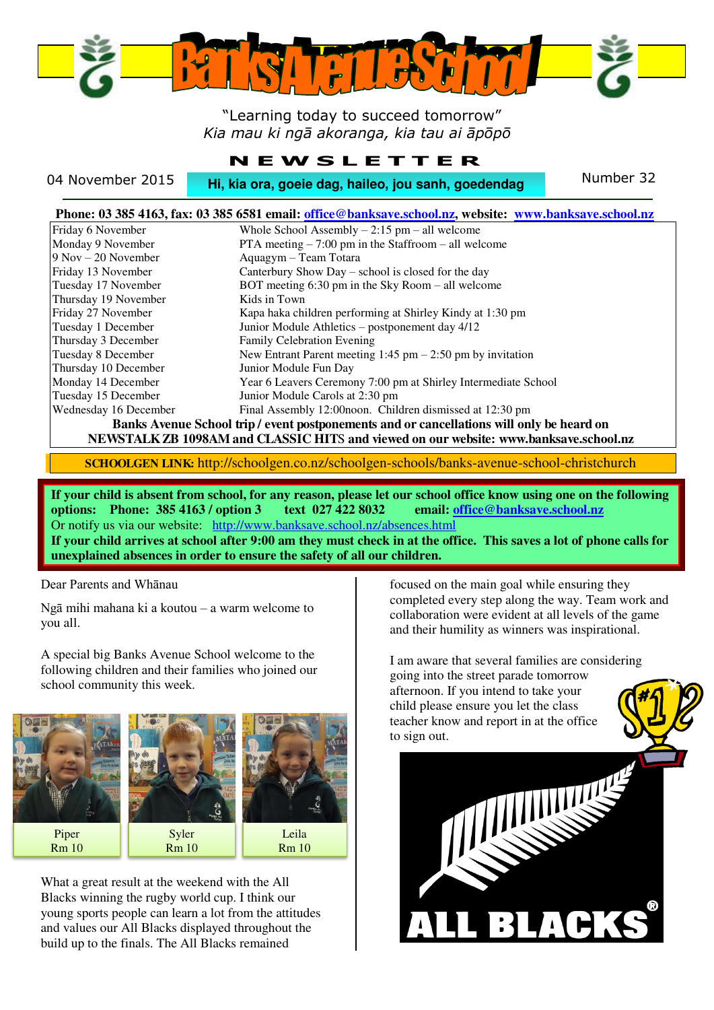

### "Learning today to succeed tomorrow" *Kia mau ki ngā akoranga, kia tau ai āpōpō*

### **N E W S L E T T E R**

04 November 2015 **Hi, kia ora, goeie dag, haileo, jou sanh, goedendag** Number 32

|                                                                                           | Phone: 03 385 4163, fax: 03 385 6581 email: office@banksave.school.nz, website: www.banksave.school.nz |
|-------------------------------------------------------------------------------------------|--------------------------------------------------------------------------------------------------------|
| Friday 6 November                                                                         | Whole School Assembly $-2:15$ pm $-$ all welcome                                                       |
| Monday 9 November                                                                         | PTA meeting $-7:00$ pm in the Staffroom $-$ all welcome                                                |
| $9$ Nov $-20$ November                                                                    | Aquagym - Team Totara                                                                                  |
| Friday 13 November                                                                        | Canterbury Show Day - school is closed for the day                                                     |
| Tuesday 17 November                                                                       | BOT meeting 6:30 pm in the Sky Room – all welcome                                                      |
| Thursday 19 November                                                                      | Kids in Town                                                                                           |
| Friday 27 November                                                                        | Kapa haka children performing at Shirley Kindy at 1:30 pm                                              |
| Tuesday 1 December                                                                        | Junior Module Athletics – postponement day 4/12                                                        |
| Thursday 3 December                                                                       | <b>Family Celebration Evening</b>                                                                      |
| Tuesday 8 December                                                                        | New Entrant Parent meeting $1:45$ pm $- 2:50$ pm by invitation                                         |
| Thursday 10 December                                                                      | Junior Module Fun Day                                                                                  |
| Monday 14 December                                                                        | Year 6 Leavers Ceremony 7:00 pm at Shirley Intermediate School                                         |
| Tuesday 15 December                                                                       | Junior Module Carols at 2:30 pm                                                                        |
| Wednesday 16 December                                                                     | Final Assembly 12:00 noon. Children dismissed at 12:30 pm                                              |
| Banks Avenue School trip / event postponements and or cancellations will only be heard on |                                                                                                        |
| NEWSTALK ZB 1098AM and CLASSIC HITS and viewed on our website: www.banksave.school.nz     |                                                                                                        |

**SCHOOLGEN LINK:** http://schoolgen.co.nz/schoolgen-schools/banks-avenue-school-christchurch

**If your child is absent from school, for any reason, please let our school office know using one on the following options: Phone: 385 4163 / option 3 text 027 422 8032 email[: office@banksave.school.nz](mailto:office@banksave.school.nz)**  Or notify us via our website: <http://www.banksave.school.nz/absences.html>

**If your child arrives at school after 9:00 am they must check in at the office. This saves a lot of phone calls for unexplained absences in order to ensure the safety of all our children.** 

Dear Parents and Whānau

Ngā mihi mahana ki a koutou – a warm welcome to you all.

A special big Banks Avenue School welcome to the following children and their families who joined our school community this week.



What a great result at the weekend with the All Blacks winning the rugby world cup. I think our young sports people can learn a lot from the attitudes and values our All Blacks displayed throughout the build up to the finals. The All Blacks remained

focused on the main goal while ensuring they completed every step along the way. Team work and collaboration were evident at all levels of the game and their humility as winners was inspirational.

I am aware that several families are considering going into the street parade tomorrow afternoon. If you intend to take your child please ensure you let the class teacher know and report in at the office to sign out.

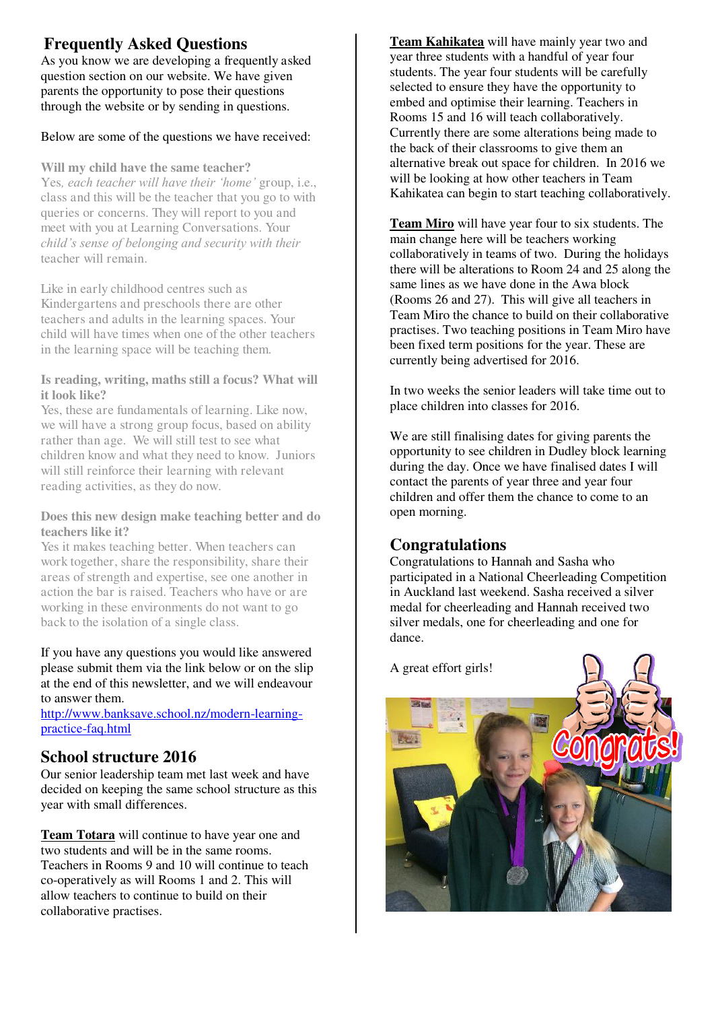## **Frequently Asked Questions**

As you know we are developing a frequently asked question section on our website. We have given parents the opportunity to pose their questions through the website or by sending in questions.

### Below are some of the questions we have received:

#### **Will my child have the same teacher?**

Yes*, each teacher will have their 'home'* group, i.e., class and this will be the teacher that you go to with queries or concerns. They will report to you and meet with you at Learning Conversations. Your *child's sense of belonging and security with their*  teacher will remain.

Like in early childhood centres such as Kindergartens and preschools there are other teachers and adults in the learning spaces. Your child will have times when one of the other teachers in the learning space will be teaching them.

### **Is reading, writing, maths still a focus? What will it look like?**

Yes, these are fundamentals of learning. Like now, we will have a strong group focus, based on ability rather than age. We will still test to see what children know and what they need to know. Juniors will still reinforce their learning with relevant reading activities, as they do now.

### **Does this new design make teaching better and do teachers like it?**

Yes it makes teaching better. When teachers can work together, share the responsibility, share their areas of strength and expertise, see one another in action the bar is raised. Teachers who have or are working in these environments do not want to go back to the isolation of a single class.

If you have any questions you would like answered please submit them via the link below or on the slip at the end of this newsletter, and we will endeavour to answer them.

[http://www.banksave.school.nz/modern-learning](http://www.banksave.school.nz/modern-learning-practice-faq.html)[practice-faq.html](http://www.banksave.school.nz/modern-learning-practice-faq.html) 

### **School structure 2016**

Our senior leadership team met last week and have decided on keeping the same school structure as this year with small differences.

**Team Totara** will continue to have year one and two students and will be in the same rooms. Teachers in Rooms 9 and 10 will continue to teach co-operatively as will Rooms 1 and 2. This will allow teachers to continue to build on their collaborative practises.

**Team Kahikatea** will have mainly year two and year three students with a handful of year four students. The year four students will be carefully selected to ensure they have the opportunity to embed and optimise their learning. Teachers in Rooms 15 and 16 will teach collaboratively. Currently there are some alterations being made to the back of their classrooms to give them an alternative break out space for children. In 2016 we will be looking at how other teachers in Team Kahikatea can begin to start teaching collaboratively.

**Team Miro** will have year four to six students. The main change here will be teachers working collaboratively in teams of two. During the holidays there will be alterations to Room 24 and 25 along the same lines as we have done in the Awa block (Rooms 26 and 27). This will give all teachers in Team Miro the chance to build on their collaborative practises. Two teaching positions in Team Miro have been fixed term positions for the year. These are currently being advertised for 2016.

In two weeks the senior leaders will take time out to place children into classes for 2016.

We are still finalising dates for giving parents the opportunity to see children in Dudley block learning during the day. Once we have finalised dates I will contact the parents of year three and year four children and offer them the chance to come to an open morning.

### **Congratulations**

Congratulations to Hannah and Sasha who participated in a National Cheerleading Competition in Auckland last weekend. Sasha received a silver medal for cheerleading and Hannah received two silver medals, one for cheerleading and one for dance.

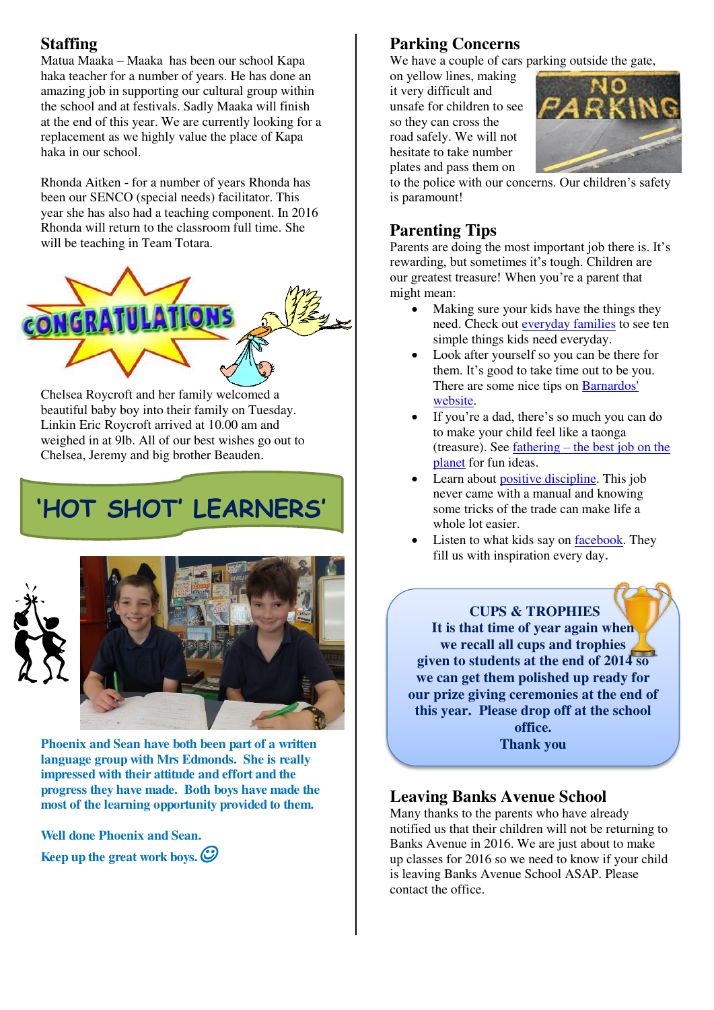## **Staffing**

Matua Maaka – Maaka has been our school Kapa haka teacher for a number of years. He has done an amazing job in supporting our cultural group within the school and at festivals. Sadly Maaka will finish at the end of this year. We are currently looking for a replacement as we highly value the place of Kapa haka in our school.

Rhonda Aitken - for a number of years Rhonda has been our SENCO (special needs) facilitator. This year she has also had a teaching component. In 2016 Rhonda will return to the classroom full time. She will be teaching in Team Totara.



Chelsea Roycroft and her family welcomed a beautiful baby boy into their family on Tuesday. Linkin Eric Roycroft arrived at 10.00 am and weighed in at 9lb. All of our best wishes go out to Chelsea, Jeremy and big brother Beauden.

# **'HOT SHOT' LEARNERS'**





**Phoenix and Sean have both been part of a written language group with Mrs Edmonds. She is really impressed with their attitude and effort and the progress they have made. Both boys have made the most of the learning opportunity provided to them.** 

**Well done Phoenix and Sean. Keep up the great work boys.**

## **Parking Concerns**

We have a couple of cars parking outside the gate,

on yellow lines, making it very difficult and unsafe for children to see so they can cross the road safely. We will not hesitate to take number plates and pass them on



to the police with our concerns. Our children's safety is paramount!

## **Parenting Tips**

Parents are doing the most important job there is. It's rewarding, but sometimes it's tough. Children are our greatest treasure! When you're a parent that might mean:

- Making sure your kids have the things they need. Check out [everyday families](http://www.cyf.govt.nz/info-for-parents/the-ten-things-kids-need-most.html) to see ten simple things kids need everyday.
- Look after yourself so you can be there for them. It's good to take time out to be you. There are some nice tips on **Barnardos'** [website.](http://www.barnardos.org.nz/)
- If you're a dad, there's so much you can do to make your child feel like a taonga (treasure). See fathering – [the best job on the](http://www.plunket.org.nz/your-child/welcome-to-parenting/family-and-whanau/fathering-the-best-job-on-the-planet)  [planet](http://www.plunket.org.nz/your-child/welcome-to-parenting/family-and-whanau/fathering-the-best-job-on-the-planet) for fun ideas.
- Learn about [positive discipline.](http://www.skip.org.nz/supporting-parents/supporting-parents-around-you/index.html) This job never came with a manual and knowing some tricks of the trade can make life a whole lot easier.
- Listen to what kids say on [facebook.](http://www.facebook.com/childrensdaynz) They fill us with inspiration every day.



## **Leaving Banks Avenue School**

Many thanks to the parents who have already notified us that their children will not be returning to Banks Avenue in 2016. We are just about to make up classes for 2016 so we need to know if your child is leaving Banks Avenue School ASAP. Please contact the office.